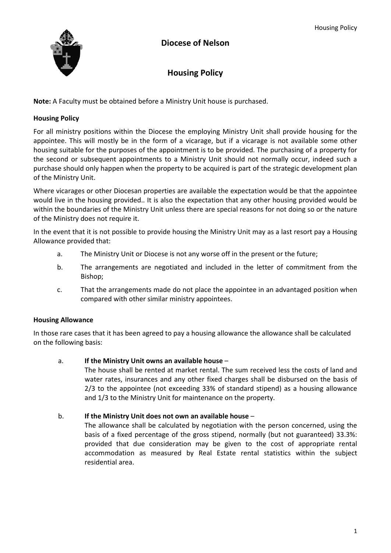

# **Housing Policy**

**Note:** A Faculty must be obtained before a Ministry Unit house is purchased.

## **Housing Policy**

For all ministry positions within the Diocese the employing Ministry Unit shall provide housing for the appointee. This will mostly be in the form of a vicarage, but if a vicarage is not available some other housing suitable for the purposes of the appointment is to be provided. The purchasing of a property for the second or subsequent appointments to a Ministry Unit should not normally occur, indeed such a purchase should only happen when the property to be acquired is part of the strategic development plan of the Ministry Unit.

Where vicarages or other Diocesan properties are available the expectation would be that the appointee would live in the housing provided.. It is also the expectation that any other housing provided would be within the boundaries of the Ministry Unit unless there are special reasons for not doing so or the nature of the Ministry does not require it.

In the event that it is not possible to provide housing the Ministry Unit may as a last resort pay a Housing Allowance provided that:

- a. The Ministry Unit or Diocese is not any worse off in the present or the future;
- b. The arrangements are negotiated and included in the letter of commitment from the Bishop;
- c. That the arrangements made do not place the appointee in an advantaged position when compared with other similar ministry appointees.

## **Housing Allowance**

In those rare cases that it has been agreed to pay a housing allowance the allowance shall be calculated on the following basis:

## a. **If the Ministry Unit owns an available house** –

The house shall be rented at market rental. The sum received less the costs of land and water rates, insurances and any other fixed charges shall be disbursed on the basis of 2/3 to the appointee (not exceeding 33% of standard stipend) as a housing allowance and 1/3 to the Ministry Unit for maintenance on the property.

## b. **If the Ministry Unit does not own an available house** –

The allowance shall be calculated by negotiation with the person concerned, using the basis of a fixed percentage of the gross stipend, normally (but not guaranteed) 33.3%: provided that due consideration may be given to the cost of appropriate rental accommodation as measured by Real Estate rental statistics within the subject residential area.